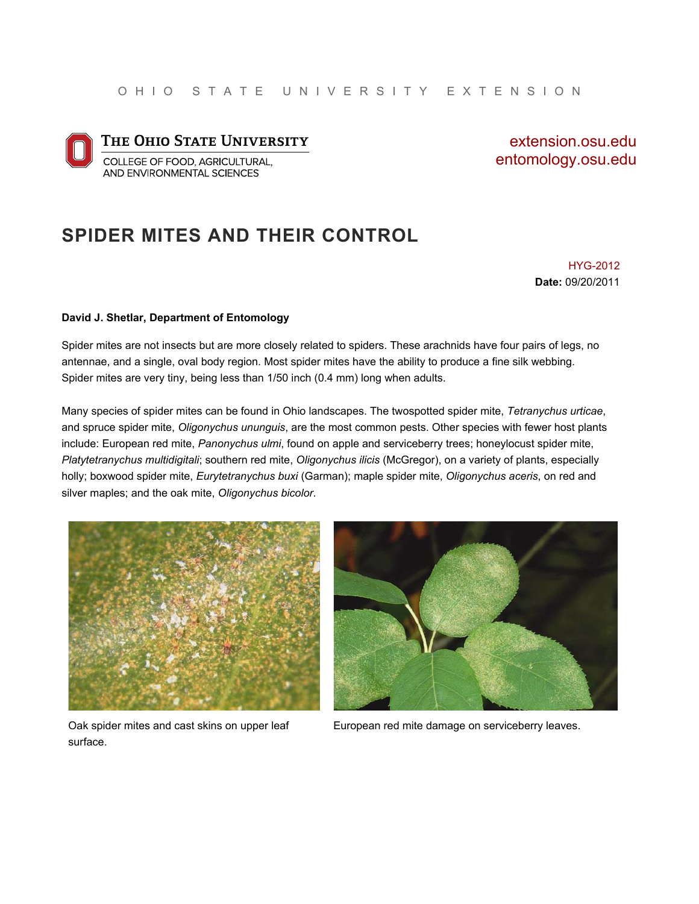

extension.osu.edu entomology.osu.edu

#### **SPIDER MITES AND THEIR CONTROL**

HYG-2012 **Date:** 09/20/2011

#### **David J. Shetlar, Department of Entomology**

Spider mites are not insects but are more closely related to spiders. These arachnids have four pairs of legs, no antennae, and a single, oval body region. Most spider mites have the ability to produce a fine silk webbing. Spider mites are very tiny, being less than 1/50 inch (0.4 mm) long when adults.

Many species of spider mites can be found in Ohio landscapes. The twospotted spider mite, *Tetranychus urticae*, and spruce spider mite, *Oligonychus ununguis*, are the most common pests. Other species with fewer host plants include: European red mite, *Panonychus ulmi*, found on apple and serviceberry trees; honeylocust spider mite, *Platytetranychus multidigitali*; southern red mite, *Oligonychus ilicis* (McGregor), on a variety of plants, especially holly; boxwood spider mite, *Eurytetranychus buxi* (Garman); maple spider mite, *Oligonychus aceris*, on red and silver maples; and the oak mite, *Oligonychus bicolor*.





Oak spider mites and cast skins on upper leaf surface.

European red mite damage on serviceberry leaves.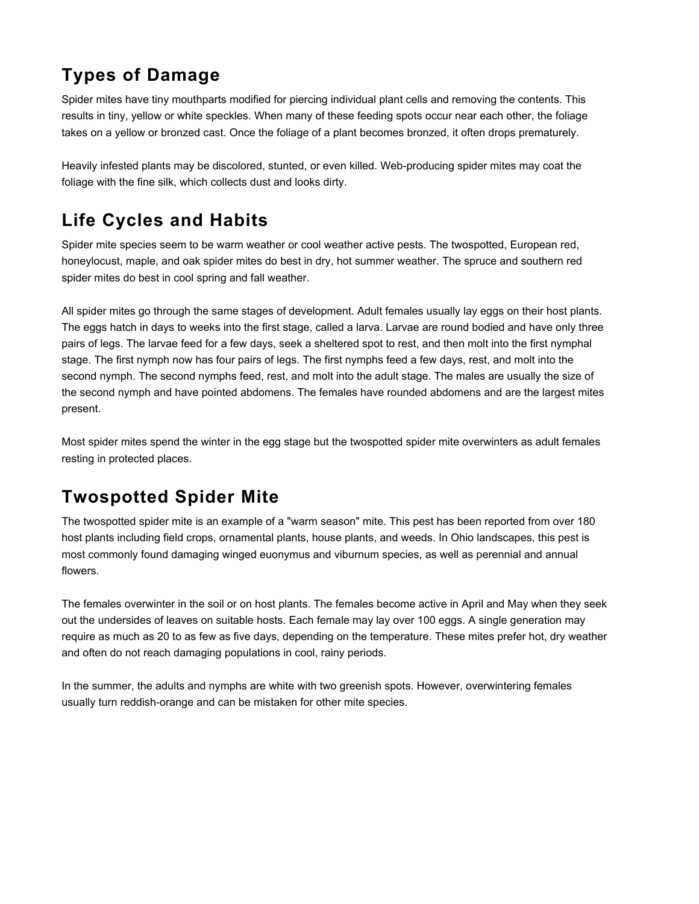# **Types of Damage**

Spider mites have tiny mouthparts modified for piercing individual plant cells and removing the contents. This results in tiny, yellow or white speckles. When many of these feeding spots occur near each other, the foliage takes on a yellow or bronzed cast. Once the foliage of a plant becomes bronzed, it often drops prematurely.

Heavily infested plants may be discolored, stunted, or even killed. Web-producing spider mites may coat the foliage with the fine silk, which collects dust and looks dirty.

## **Life Cycles and Habits**

Spider mite species seem to be warm weather or cool weather active pests. The twospotted, European red, honeylocust, maple, and oak spider mites do best in dry, hot summer weather. The spruce and southern red spider mites do best in cool spring and fall weather.

All spider mites go through the same stages of development. Adult females usually lay eggs on their host plants. The eggs hatch in days to weeks into the first stage, called a larva. Larvae are round bodied and have only three pairs of legs. The larvae feed for a few days, seek a sheltered spot to rest, and then molt into the first nymphal stage. The first nymph now has four pairs of legs. The first nymphs feed a few days, rest, and molt into the second nymph. The second nymphs feed, rest, and molt into the adult stage. The males are usually the size of the second nymph and have pointed abdomens. The females have rounded abdomens and are the largest mites present.

Most spider mites spend the winter in the egg stage but the twospotted spider mite overwinters as adult females resting in protected places.

## **Twospotted Spider Mite**

The twospotted spider mite is an example of a "warm season" mite. This pest has been reported from over 180 host plants including field crops, ornamental plants, house plants, and weeds. In Ohio landscapes, this pest is most commonly found damaging winged euonymus and viburnum species, as well as perennial and annual flowers.

The females overwinter in the soil or on host plants. The females become active in April and May when they seek out the undersides of leaves on suitable hosts. Each female may lay over 100 eggs. A single generation may require as much as 20 to as few as five days, depending on the temperature. These mites prefer hot, dry weather and often do not reach damaging populations in cool, rainy periods.

In the summer, the adults and nymphs are white with two greenish spots. However, overwintering females usually turn reddish-orange and can be mistaken for other mite species.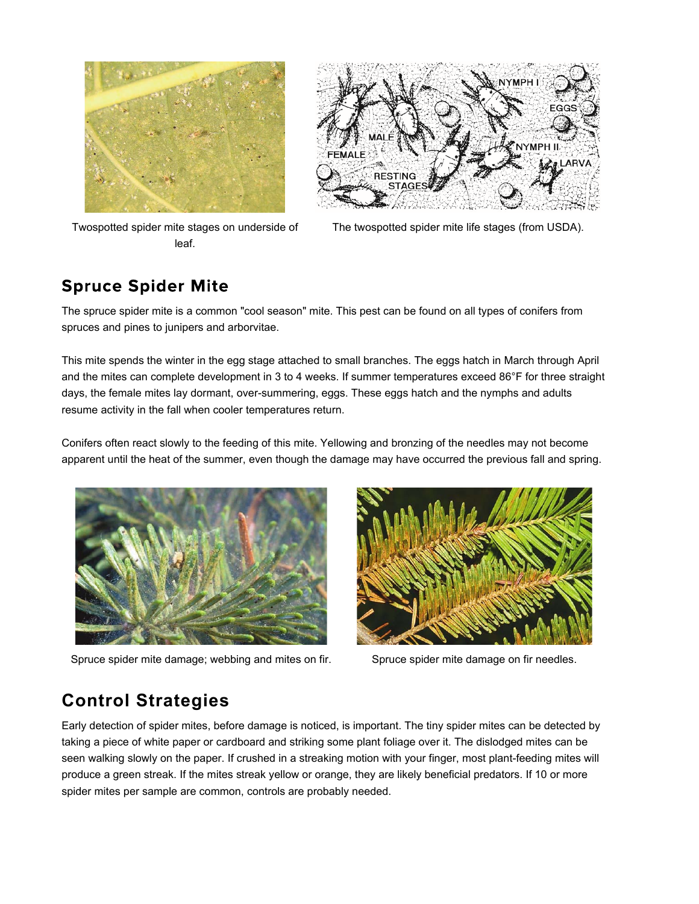

Twospotted spider mite stages on underside of leaf.



The twospotted spider mite life stages (from USDA).

#### **Spruce Spider Mite**

The spruce spider mite is a common "cool season" mite. This pest can be found on all types of conifers from spruces and pines to junipers and arborvitae.

This mite spends the winter in the egg stage attached to small branches. The eggs hatch in March through April and the mites can complete development in 3 to 4 weeks. If summer temperatures exceed 86°F for three straight days, the female mites lay dormant, over-summering, eggs. These eggs hatch and the nymphs and adults resume activity in the fall when cooler temperatures return.

Conifers often react slowly to the feeding of this mite. Yellowing and bronzing of the needles may not become apparent until the heat of the summer, even though the damage may have occurred the previous fall and spring.



Spruce spider mite damage; webbing and mites on fir. Spruce spider mite damage on fir needles.



## **Control Strategies**

Early detection of spider mites, before damage is noticed, is important. The tiny spider mites can be detected by taking a piece of white paper or cardboard and striking some plant foliage over it. The dislodged mites can be seen walking slowly on the paper. If crushed in a streaking motion with your finger, most plant-feeding mites will produce a green streak. If the mites streak yellow or orange, they are likely beneficial predators. If 10 or more spider mites per sample are common, controls are probably needed.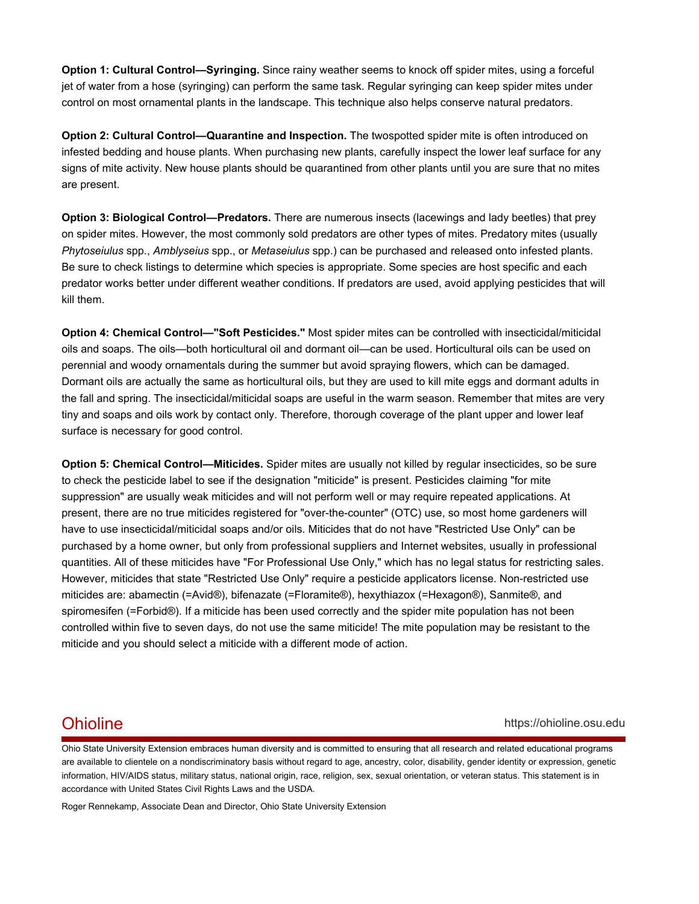**Option 1: Cultural Control—Syringing.** Since rainy weather seems to knock off spider mites, using a forceful jet of water from a hose (syringing) can perform the same task. Regular syringing can keep spider mites under control on most ornamental plants in the landscape. This technique also helps conserve natural predators.

**Option 2: Cultural Control—Quarantine and Inspection.** The twospotted spider mite is often introduced on infested bedding and house plants. When purchasing new plants, carefully inspect the lower leaf surface for any signs of mite activity. New house plants should be quarantined from other plants until you are sure that no mites are present.

**Option 3: Biological Control—Predators.** There are numerous insects (lacewings and lady beetles) that prey on spider mites. However, the most commonly sold predators are other types of mites. Predatory mites (usually *Phytoseiulus* spp., *Amblyseius* spp., or *Metaseiulus* spp.) can be purchased and released onto infested plants. Be sure to check listings to determine which species is appropriate. Some species are host specific and each predator works better under different weather conditions. If predators are used, avoid applying pesticides that will kill them.

**Option 4: Chemical Control—"Soft Pesticides."** Most spider mites can be controlled with insecticidal/miticidal oils and soaps. The oils—both horticultural oil and dormant oil—can be used. Horticultural oils can be used on perennial and woody ornamentals during the summer but avoid spraying flowers, which can be damaged. Dormant oils are actually the same as horticultural oils, but they are used to kill mite eggs and dormant adults in the fall and spring. The insecticidal/miticidal soaps are useful in the warm season. Remember that mites are very tiny and soaps and oils work by contact only. Therefore, thorough coverage of the plant upper and lower leaf surface is necessary for good control.

**Option 5: Chemical Control—Miticides.** Spider mites are usually not killed by regular insecticides, so be sure to check the pesticide label to see if the designation "miticide" is present. Pesticides claiming "for mite suppression" are usually weak miticides and will not perform well or may require repeated applications. At present, there are no true miticides registered for "over-the-counter" (OTC) use, so most home gardeners will have to use insecticidal/miticidal soaps and/or oils. Miticides that do not have "Restricted Use Only" can be purchased by a home owner, but only from professional suppliers and Internet websites, usually in professional quantities. All of these miticides have "For Professional Use Only," which has no legal status for restricting sales. However, miticides that state "Restricted Use Only" require a pesticide applicators license. Non-restricted use miticides are: abamectin (=Avid®), bifenazate (=Floramite®), hexythiazox (=Hexagon®), Sanmite®, and spiromesifen (=Forbid®). If a miticide has been used correctly and the spider mite population has not been controlled within five to seven days, do not use the same miticide! The mite population may be resistant to the miticide and you should select a miticide with a different mode of action.

#### Ohioline https://ohioline.osu.edu

Ohio State University Extension embraces human diversity and is committed to ensuring that all research and related educational programs are available to clientele on a nondiscriminatory basis without regard to age, ancestry, color, disability, gender identity or expression, genetic information, HIV/AIDS status, military status, national origin, race, religion, sex, sexual orientation, or veteran status. This statement is in accordance with United States Civil Rights Laws and the USDA.

Roger Rennekamp, Associate Dean and Director, Ohio State University Extension